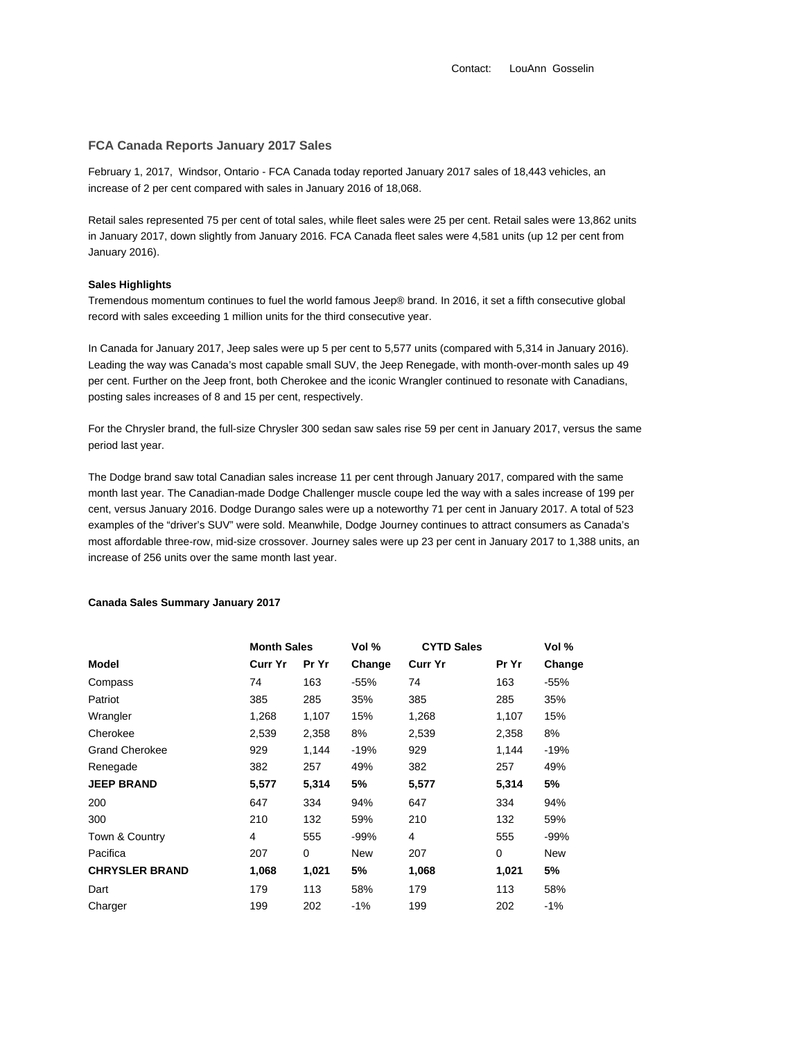Contact: LouAnn Gosselin

### **FCA Canada Reports January 2017 Sales**

February 1, 2017, Windsor, Ontario - FCA Canada today reported January 2017 sales of 18,443 vehicles, an increase of 2 per cent compared with sales in January 2016 of 18,068.

Retail sales represented 75 per cent of total sales, while fleet sales were 25 per cent. Retail sales were 13,862 units in January 2017, down slightly from January 2016. FCA Canada fleet sales were 4,581 units (up 12 per cent from January 2016).

#### **Sales Highlights**

Tremendous momentum continues to fuel the world famous Jeep® brand. In 2016, it set a fifth consecutive global record with sales exceeding 1 million units for the third consecutive year.

In Canada for January 2017, Jeep sales were up 5 per cent to 5,577 units (compared with 5,314 in January 2016). Leading the way was Canada's most capable small SUV, the Jeep Renegade, with month-over-month sales up 49 per cent. Further on the Jeep front, both Cherokee and the iconic Wrangler continued to resonate with Canadians, posting sales increases of 8 and 15 per cent, respectively.

For the Chrysler brand, the full-size Chrysler 300 sedan saw sales rise 59 per cent in January 2017, versus the same period last year.

The Dodge brand saw total Canadian sales increase 11 per cent through January 2017, compared with the same month last year. The Canadian-made Dodge Challenger muscle coupe led the way with a sales increase of 199 per cent, versus January 2016. Dodge Durango sales were up a noteworthy 71 per cent in January 2017. A total of 523 examples of the "driver's SUV" were sold. Meanwhile, Dodge Journey continues to attract consumers as Canada's most affordable three-row, mid-size crossover. Journey sales were up 23 per cent in January 2017 to 1,388 units, an increase of 256 units over the same month last year.

# **Canada Sales Summary January 2017**

|                       | <b>Month Sales</b> |             | Vol %  | <b>CYTD Sales</b> |          | Vol %      |
|-----------------------|--------------------|-------------|--------|-------------------|----------|------------|
| <b>Model</b>          | Curr Yr            | Pr Yr       | Change | <b>Curr Yr</b>    | Pr Yr    | Change     |
| Compass               | 74                 | 163         | $-55%$ | 74                | 163      | $-55%$     |
| Patriot               | 385                | 285         | 35%    | 385               | 285      | 35%        |
| Wrangler              | 1,268              | 1,107       | 15%    | 1,268             | 1,107    | 15%        |
| Cherokee              | 2,539              | 2,358       | 8%     | 2,539             | 2,358    | 8%         |
| <b>Grand Cherokee</b> | 929                | 1,144       | $-19%$ | 929               | 1,144    | $-19%$     |
| Renegade              | 382                | 257         | 49%    | 382               | 257      | 49%        |
| <b>JEEP BRAND</b>     | 5,577              | 5,314       | 5%     | 5,577             | 5,314    | 5%         |
| 200                   | 647                | 334         | 94%    | 647               | 334      | 94%        |
| 300                   | 210                | 132         | 59%    | 210               | 132      | 59%        |
| Town & Country        | 4                  | 555         | $-99%$ | 4                 | 555      | -99%       |
| Pacifica              | 207                | $\mathbf 0$ | New    | 207               | $\Omega$ | <b>New</b> |
| <b>CHRYSLER BRAND</b> | 1,068              | 1,021       | 5%     | 1,068             | 1,021    | 5%         |
| Dart                  | 179                | 113         | 58%    | 179               | 113      | 58%        |
| Charger               | 199                | 202         | $-1\%$ | 199               | 202      | $-1%$      |